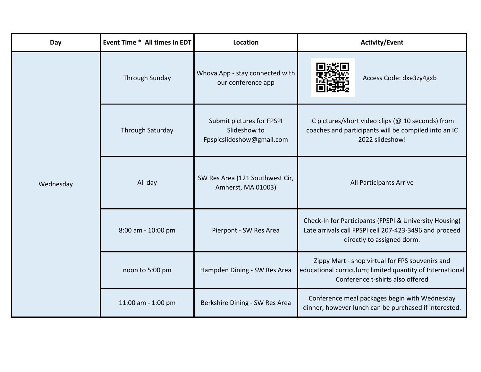| Day       | Event Time * All times in EDT | Location                                                               | <b>Activity/Event</b>                                                                                                                            |
|-----------|-------------------------------|------------------------------------------------------------------------|--------------------------------------------------------------------------------------------------------------------------------------------------|
| Wednesday | <b>Through Sunday</b>         | Whova App - stay connected with<br>our conference app                  | Access Code: dxe3zy4gxb                                                                                                                          |
|           | <b>Through Saturday</b>       | Submit pictures for FPSPI<br>Slideshow to<br>Fpspicslideshow@gmail.com | IC pictures/short video clips (@ 10 seconds) from<br>coaches and participants will be compiled into an IC<br>2022 slideshow!                     |
|           | All day                       | SW Res Area (121 Southwest Cir,<br>Amherst, MA 01003)                  | All Participants Arrive                                                                                                                          |
|           | 8:00 am - 10:00 pm            | Pierpont - SW Res Area                                                 | Check-In for Participants (FPSPI & University Housing)<br>Late arrivals call FPSPI cell 207-423-3496 and proceed<br>directly to assigned dorm.   |
|           | noon to 5:00 pm               | Hampden Dining - SW Res Area                                           | Zippy Mart - shop virtual for FPS souvenirs and<br>educational curriculum; limited quantity of International<br>Conference t-shirts also offered |
|           | 11:00 am - 1:00 pm            | Berkshire Dining - SW Res Area                                         | Conference meal packages begin with Wednesday<br>dinner, however lunch can be purchased if interested.                                           |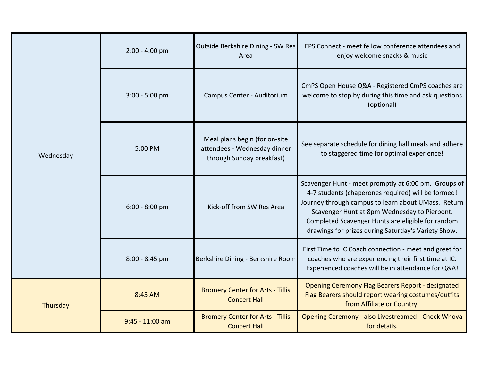| Wednesday | $2:00 - 4:00$ pm  | Outside Berkshire Dining - SW Res<br>Area                                                  | FPS Connect - meet fellow conference attendees and<br>enjoy welcome snacks & music                                                                                                                                                                                                                                            |
|-----------|-------------------|--------------------------------------------------------------------------------------------|-------------------------------------------------------------------------------------------------------------------------------------------------------------------------------------------------------------------------------------------------------------------------------------------------------------------------------|
|           | 3:00 - 5:00 pm    | Campus Center - Auditorium                                                                 | CmPS Open House Q&A - Registered CmPS coaches are<br>welcome to stop by during this time and ask questions<br>(optional)                                                                                                                                                                                                      |
|           | 5:00 PM           | Meal plans begin (for on-site<br>attendees - Wednesday dinner<br>through Sunday breakfast) | See separate schedule for dining hall meals and adhere<br>to staggered time for optimal experience!                                                                                                                                                                                                                           |
|           | 6:00 - 8:00 pm    | Kick-off from SW Res Area                                                                  | Scavenger Hunt - meet promptly at 6:00 pm. Groups of<br>4-7 students (chaperones required) will be formed!<br>Journey through campus to learn about UMass. Return<br>Scavenger Hunt at 8pm Wednesday to Pierpont.<br>Completed Scavenger Hunts are eligible for random<br>drawings for prizes during Saturday's Variety Show. |
|           | 8:00 - 8:45 pm    | Berkshire Dining - Berkshire Room                                                          | First Time to IC Coach connection - meet and greet for<br>coaches who are experiencing their first time at IC.<br>Experienced coaches will be in attendance for Q&A!                                                                                                                                                          |
| Thursday  | 8:45 AM           | <b>Bromery Center for Arts - Tillis</b><br><b>Concert Hall</b>                             | <b>Opening Ceremony Flag Bearers Report - designated</b><br>Flag Bearers should report wearing costumes/outfits<br>from Affiliate or Country.                                                                                                                                                                                 |
|           | $9:45 - 11:00$ am | <b>Bromery Center for Arts - Tillis</b><br><b>Concert Hall</b>                             | Opening Ceremony - also Livestreamed! Check Whova<br>for details.                                                                                                                                                                                                                                                             |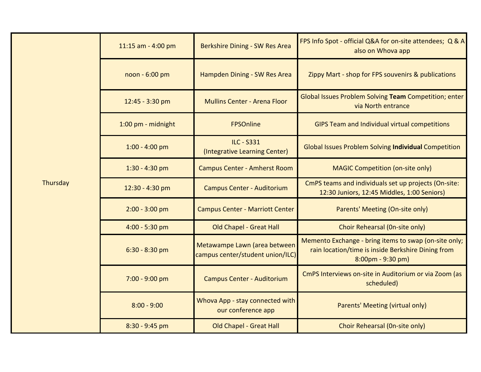|          | 11:15 am - 4:00 pm | Berkshire Dining - SW Res Area                                   | FPS Info Spot - official Q&A for on-site attendees; Q & A<br>also on Whova app                                                                   |
|----------|--------------------|------------------------------------------------------------------|--------------------------------------------------------------------------------------------------------------------------------------------------|
|          | noon - 6:00 pm     | Hampden Dining - SW Res Area                                     | Zippy Mart - shop for FPS souvenirs & publications                                                                                               |
|          | 12:45 - 3:30 pm    | <b>Mullins Center - Arena Floor</b>                              | Global Issues Problem Solving Team Competition; enter<br>via North entrance                                                                      |
|          | 1:00 pm - midnight | <b>FPSOnline</b>                                                 | GIPS Team and Individual virtual competitions                                                                                                    |
| Thursday | $1:00 - 4:00$ pm   | <b>ILC - S331</b><br>(Integrative Learning Center)               | <b>Global Issues Problem Solving Individual Competition</b>                                                                                      |
|          | $1:30 - 4:30$ pm   | <b>Campus Center - Amherst Room</b>                              | <b>MAGIC Competition (on-site only)</b>                                                                                                          |
|          | 12:30 - 4:30 pm    | <b>Campus Center - Auditorium</b>                                | CmPS teams and individuals set up projects (On-site:<br>12:30 Juniors, 12:45 Middles, 1:00 Seniors)                                              |
|          | $2:00 - 3:00$ pm   | <b>Campus Center - Marriott Center</b>                           | Parents' Meeting (On-site only)                                                                                                                  |
|          | $4:00 - 5:30$ pm   | <b>Old Chapel - Great Hall</b>                                   | Choir Rehearsal (On-site only)                                                                                                                   |
|          | $6:30 - 8:30$ pm   | Metawampe Lawn (area between<br>campus center/student union/ILC) | Memento Exchange - bring items to swap (on-site only;<br>rain location/time is inside Berkshire Dining from<br>$8:00 \text{pm} - 9:30 \text{pm}$ |
|          | 7:00 - 9:00 pm     | <b>Campus Center - Auditorium</b>                                | CmPS Interviews on-site in Auditorium or via Zoom (as<br>scheduled)                                                                              |
|          | $8:00 - 9:00$      | Whova App - stay connected with<br>our conference app            | Parents' Meeting (virtual only)                                                                                                                  |
|          | 8:30 - 9:45 pm     | <b>Old Chapel - Great Hall</b>                                   | Choir Rehearsal (On-site only)                                                                                                                   |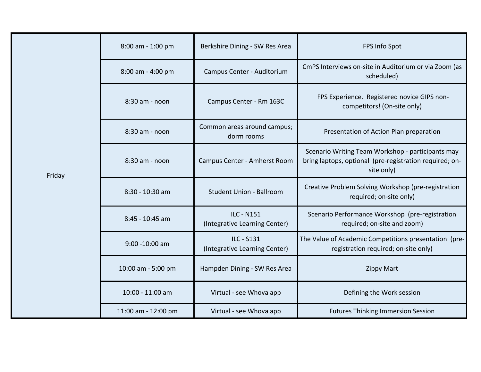| Friday | 8:00 am - 1:00 pm   | Berkshire Dining - SW Res Area                     | FPS Info Spot                                                                                                              |
|--------|---------------------|----------------------------------------------------|----------------------------------------------------------------------------------------------------------------------------|
|        | 8:00 am - 4:00 pm   | Campus Center - Auditorium                         | CmPS Interviews on-site in Auditorium or via Zoom (as<br>scheduled)                                                        |
|        | 8:30 am - noon      | Campus Center - Rm 163C                            | FPS Experience. Registered novice GIPS non-<br>competitors! (On-site only)                                                 |
|        | 8:30 am - noon      | Common areas around campus;<br>dorm rooms          | Presentation of Action Plan preparation                                                                                    |
|        | 8:30 am - noon      | Campus Center - Amherst Room                       | Scenario Writing Team Workshop - participants may<br>bring laptops, optional (pre-registration required; on-<br>site only) |
|        | 8:30 - 10:30 am     | <b>Student Union - Ballroom</b>                    | Creative Problem Solving Workshop (pre-registration<br>required; on-site only)                                             |
|        | 8:45 - 10:45 am     | <b>ILC - N151</b><br>(Integrative Learning Center) | Scenario Performance Workshop (pre-registration<br>required; on-site and zoom)                                             |
|        | 9:00 -10:00 am      | ILC - S131<br>(Integrative Learning Center)        | The Value of Academic Competitions presentation (pre-<br>registration required; on-site only)                              |
|        | 10:00 am - 5:00 pm  | Hampden Dining - SW Res Area                       | <b>Zippy Mart</b>                                                                                                          |
|        | 10:00 - 11:00 am    | Virtual - see Whova app                            | Defining the Work session                                                                                                  |
|        | 11:00 am - 12:00 pm | Virtual - see Whova app                            | <b>Futures Thinking Immersion Session</b>                                                                                  |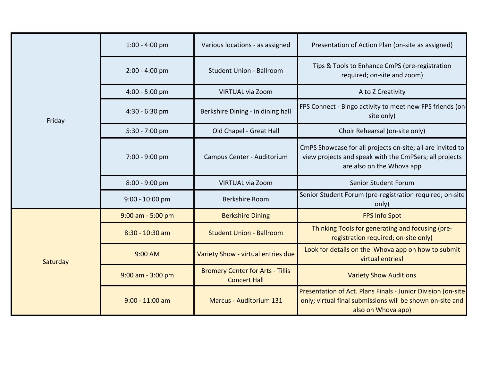| Friday   | $1:00 - 4:00$ pm      | Various locations - as assigned                                | Presentation of Action Plan (on-site as assigned)                                                                                                 |
|----------|-----------------------|----------------------------------------------------------------|---------------------------------------------------------------------------------------------------------------------------------------------------|
|          | $2:00 - 4:00$ pm      | <b>Student Union - Ballroom</b>                                | Tips & Tools to Enhance CmPS (pre-registration<br>required; on-site and zoom)                                                                     |
|          | $4:00 - 5:00$ pm      | <b>VIRTUAL via Zoom</b>                                        | A to Z Creativity                                                                                                                                 |
|          | $4:30 - 6:30$ pm      | Berkshire Dining - in dining hall                              | FPS Connect - Bingo activity to meet new FPS friends (on-<br>site only)                                                                           |
|          | $5:30 - 7:00$ pm      | Old Chapel - Great Hall                                        | Choir Rehearsal (on-site only)                                                                                                                    |
|          | 7:00 - 9:00 pm        | Campus Center - Auditorium                                     | CmPS Showcase for all projects on-site; all are invited to<br>view projects and speak with the CmPSers; all projects<br>are also on the Whova app |
|          | $8:00 - 9:00$ pm      | <b>VIRTUAL via Zoom</b>                                        | Senior Student Forum                                                                                                                              |
|          | 9:00 - 10:00 pm       | <b>Berkshire Room</b>                                          | Senior Student Forum (pre-registration required; on-site<br>only)                                                                                 |
| Saturday | $9:00$ am - 5:00 pm   | <b>Berkshire Dining</b>                                        | <b>FPS Info Spot</b>                                                                                                                              |
|          | 8:30 - 10:30 am       | <b>Student Union - Ballroom</b>                                | Thinking Tools for generating and focusing (pre-<br>registration required; on-site only)                                                          |
|          | 9:00 AM               | Variety Show - virtual entries due                             | Look for details on the Whova app on how to submit<br>virtual entries!                                                                            |
|          | $9:00$ am - $3:00$ pm | <b>Bromery Center for Arts - Tillis</b><br><b>Concert Hall</b> | <b>Variety Show Auditions</b>                                                                                                                     |
|          | $9:00 - 11:00$ am     | <b>Marcus - Auditorium 131</b>                                 | Presentation of Act. Plans Finals - Junior Division (on-site<br>only; virtual final submissions will be shown on-site and<br>also on Whova app)   |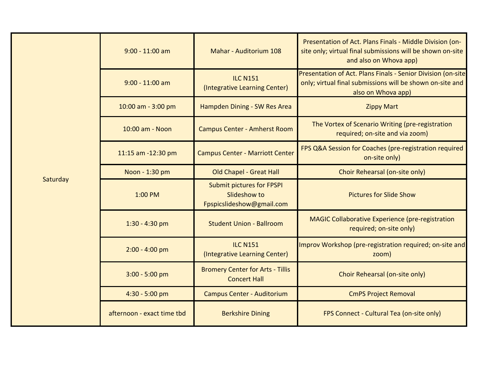|          | $9:00 - 11:00$ am          | <b>Mahar - Auditorium 108</b>                                                 | Presentation of Act. Plans Finals - Middle Division (on-<br>site only; virtual final submissions will be shown on-site<br>and also on Whova app) |
|----------|----------------------------|-------------------------------------------------------------------------------|--------------------------------------------------------------------------------------------------------------------------------------------------|
|          | $9:00 - 11:00$ am          | <b>ILC N151</b><br>(Integrative Learning Center)                              | Presentation of Act. Plans Finals - Senior Division (on-site<br>only; virtual final submissions will be shown on-site and<br>also on Whova app)  |
|          | 10:00 am - 3:00 pm         | Hampden Dining - SW Res Area                                                  | <b>Zippy Mart</b>                                                                                                                                |
|          | 10:00 am - Noon            | <b>Campus Center - Amherst Room</b>                                           | The Vortex of Scenario Writing (pre-registration<br>required; on-site and via zoom)                                                              |
|          | 11:15 am -12:30 pm         | <b>Campus Center - Marriott Center</b>                                        | FPS Q&A Session for Coaches (pre-registration required<br>on-site only)                                                                          |
|          | Noon - 1:30 pm             | <b>Old Chapel - Great Hall</b>                                                | Choir Rehearsal (on-site only)                                                                                                                   |
| Saturday | 1:00 PM                    | <b>Submit pictures for FPSPI</b><br>Slideshow to<br>Fpspicslideshow@gmail.com | <b>Pictures for Slide Show</b>                                                                                                                   |
|          | $1:30 - 4:30$ pm           | <b>Student Union - Ballroom</b>                                               | <b>MAGIC Collaborative Experience (pre-registration</b><br>required; on-site only)                                                               |
|          | $2:00 - 4:00$ pm           | <b>ILC N151</b><br>(Integrative Learning Center)                              | Improv Workshop (pre-registration required; on-site and<br>zoom)                                                                                 |
|          | $3:00 - 5:00$ pm           | <b>Bromery Center for Arts - Tillis</b><br><b>Concert Hall</b>                | Choir Rehearsal (on-site only)                                                                                                                   |
|          | 4:30 - 5:00 pm             | <b>Campus Center - Auditorium</b>                                             | <b>CmPS Project Removal</b>                                                                                                                      |
|          | afternoon - exact time tbd | <b>Berkshire Dining</b>                                                       | FPS Connect - Cultural Tea (on-site only)                                                                                                        |